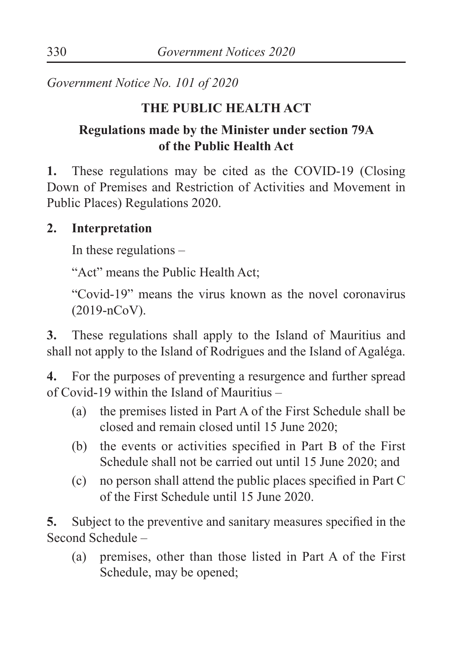*Government Notice No. 101 of 2020*

#### **THE PUBLIC HEALTH ACT**

### **Regulations made by the Minister under section 79A of the Public Health Act**

**1.** These regulations may be cited as the COVID-19 (Closing Down of Premises and Restriction of Activities and Movement in Public Places) Regulations 2020.

#### **2. Interpretation**

In these regulations –

"Act" means the Public Health Act;

"Covid-19" means the virus known as the novel coronavirus (2019-nCoV).

**3.** These regulations shall apply to the Island of Mauritius and shall not apply to the Island of Rodrigues and the Island of Agaléga.

**4.** For the purposes of preventing a resurgence and further spread of Covid-19 within the Island of Mauritius –

- (a) the premises listed in Part A of the First Schedule shall be closed and remain closed until 15 June 2020;
- (b) the events or activities specified in Part B of the First Schedule shall not be carried out until 15 June 2020; and
- (c) no person shall attend the public places specified in Part C of the First Schedule until 15 June 2020.

**5.** Subject to the preventive and sanitary measures specified in the Second Schedule –

(a) premises, other than those listed in Part A of the First Schedule, may be opened;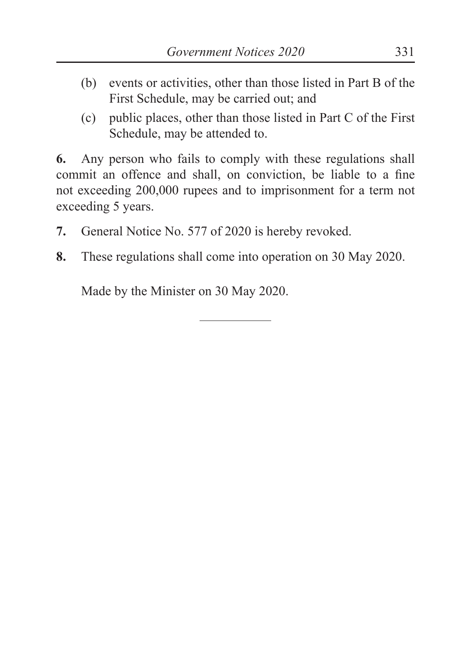- (b) events or activities, other than those listed in Part B of the First Schedule, may be carried out; and
- (c) public places, other than those listed in Part C of the First Schedule, may be attended to.

**6.** Any person who fails to comply with these regulations shall commit an offence and shall, on conviction, be liable to a fine not exceeding 200,000 rupees and to imprisonment for a term not exceeding 5 years.

- **7.** General Notice No. 577 of 2020 is hereby revoked.
- **8.** These regulations shall come into operation on 30 May 2020.

Made by the Minister on 30 May 2020.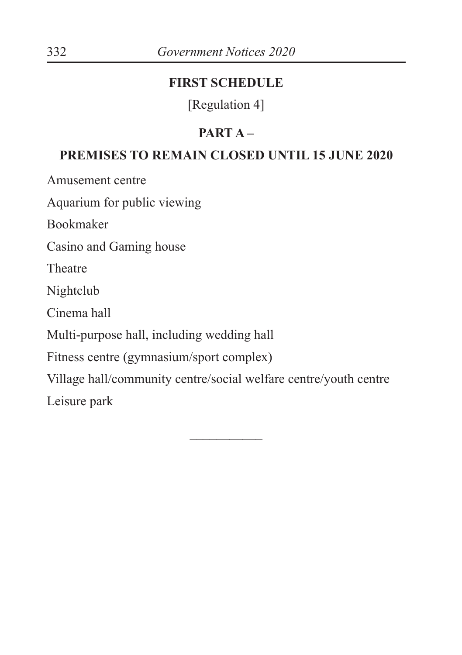#### **FIRST SCHEDULE**

[Regulation 4]

### **PART A –**

#### **PREMISES TO REMAIN CLOSED UNTIL 15 JUNE 2020**

Amusement centre

Aquarium for public viewing

Bookmaker

Casino and Gaming house

Theatre

Nightclub

Cinema hall

Multi-purpose hall, including wedding hall

Fitness centre (gymnasium/sport complex)

Village hall/community centre/social welfare centre/youth centre Leisure park

 $\overline{\phantom{a}}$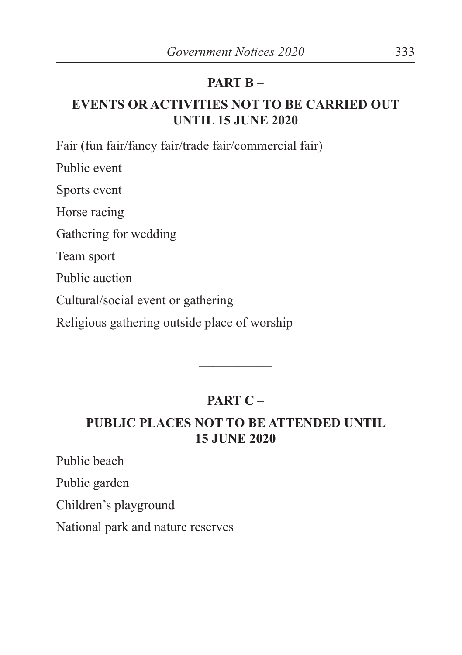#### **PART B –**

### **EVENTS OR ACTIVITIES NOT TO BE CARRIED OUT UNTIL 15 JUNE 2020**

Fair (fun fair/fancy fair/trade fair/commercial fair)

Public event

Sports event

Horse racing

Gathering for wedding

Team sport

Public auction

Cultural/social event or gathering

Religious gathering outside place of worship

# **PART C –**

 $\overline{\phantom{a}}$ 

## **PUBLIC PLACES NOT TO BE ATTENDED UNTIL 15 JUNE 2020**

 $\frac{1}{2}$ 

Public beach

Public garden

Children's playground

National park and nature reserves